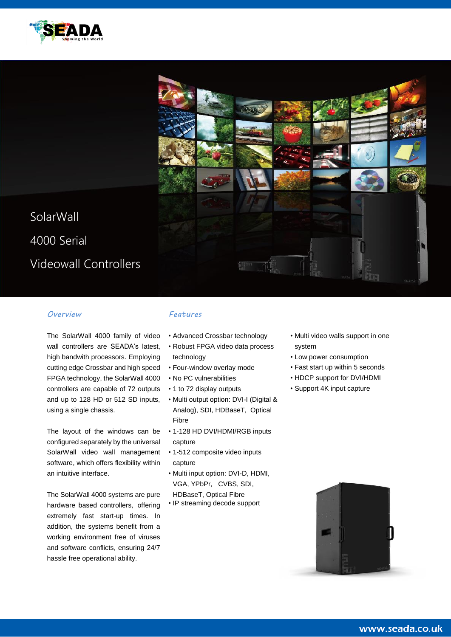



## *Overview*

The SolarWall 4000 family of video wall controllers are SEADA's latest, high bandwith processors. Employing cutting edge Crossbar and high speed FPGA technology, the SolarWall 4000 controllers are capable of 72 outputs and up to 128 HD or 512 SD inputs, using a single chassis.

The layout of the windows can be configured separately by the universal SolarWall video wall management software, which offers flexibility within an intuitive interface.

The SolarWall 4000 systems are pure hardware based controllers, offering extremely fast start-up times. In addition, the systems benefit from a working environment free of viruses and software conflicts, ensuring 24/7 hassle free operational ability.

## *Features*

- Advanced Crossbar technology
- Robust FPGA video data process technology
- Four-window overlay mode
- No PC vulnerabilities
- 1 to 72 display outputs
- Multi output option: DVI-I (Digital & Analog), SDI, HDBaseT, Optical Fibre
- 1-128 HD DVI/HDMI/RGB inputs capture
- 1-512 composite video inputs capture
- Multi input option: DVI-D, HDMI, VGA, YPbPr, CVBS, SDI, HDBaseT, Optical Fibre
- IP streaming decode support
- Multi video walls support in one system
- Low power consumption
- Fast start up within 5 seconds
- HDCP support for DVI/HDMI
- Support 4K input capture